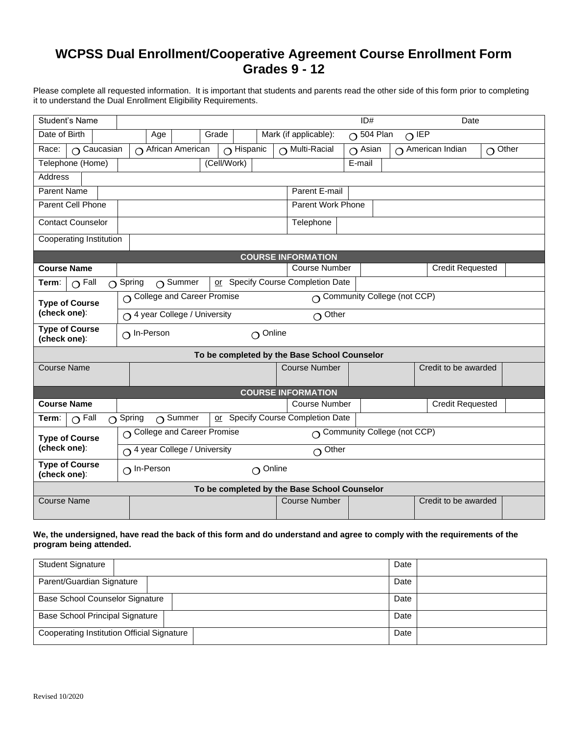## **WCPSS Dual Enrollment/Cooperative Agreement Course Enrollment Form Grades 9 - 12**

Please complete all requested information. It is important that students and parents read the other side of this form prior to completing it to understand the Dual Enrollment Eligibility Requirements.

| Student's Name                                                                                         | ID#<br>Date                                                     |                                              |                   |                                |                      |                         |                   |  |
|--------------------------------------------------------------------------------------------------------|-----------------------------------------------------------------|----------------------------------------------|-------------------|--------------------------------|----------------------|-------------------------|-------------------|--|
| Date of Birth                                                                                          | $O504$ Plan<br>Mark (if applicable):<br>$O$ IEP<br>Age<br>Grade |                                              |                   |                                |                      |                         |                   |  |
| Race:<br>$\Omega$ Caucasian                                                                            |                                                                 | $\bigcap$ African American                   | $\Omega$ Hispanic | $\bigcap$ Multi-Racial         | $\overline{O}$ Asian | $\cap$ American Indian  | Other<br>$\Omega$ |  |
| Telephone (Home)<br>(Cell/Work)                                                                        |                                                                 |                                              |                   | E-mail                         |                      |                         |                   |  |
| <b>Address</b>                                                                                         |                                                                 |                                              |                   |                                |                      |                         |                   |  |
| <b>Parent Name</b>                                                                                     |                                                                 | Parent E-mail                                |                   |                                |                      |                         |                   |  |
| <b>Parent Cell Phone</b>                                                                               | Parent Work Phone                                               |                                              |                   |                                |                      |                         |                   |  |
| <b>Contact Counselor</b>                                                                               |                                                                 |                                              |                   | Telephone                      |                      |                         |                   |  |
| Cooperating Institution                                                                                |                                                                 |                                              |                   |                                |                      |                         |                   |  |
| <b>COURSE INFORMATION</b>                                                                              |                                                                 |                                              |                   |                                |                      |                         |                   |  |
| <b>Course Name</b>                                                                                     |                                                                 |                                              |                   | <b>Course Number</b>           |                      | <b>Credit Requested</b> |                   |  |
| Specify Course Completion Date<br>$\Omega$ Fall<br>$\bigcap$ Summer<br>$\bigcap$ Spring<br>Term:<br>or |                                                                 |                                              |                   |                                |                      |                         |                   |  |
| <b>Type of Course</b>                                                                                  | O College and Career Promise<br>O Community College (not CCP)   |                                              |                   |                                |                      |                         |                   |  |
| (check one):                                                                                           | $\bigcap$ 4 year College / University<br>$\Omega$ Other         |                                              |                   |                                |                      |                         |                   |  |
| <b>Type of Course</b><br>(check one):                                                                  | $\Omega$ In-Person<br>$\Omega$ Online                           |                                              |                   |                                |                      |                         |                   |  |
| To be completed by the Base School Counselor                                                           |                                                                 |                                              |                   |                                |                      |                         |                   |  |
| <b>Course Name</b>                                                                                     |                                                                 |                                              |                   | <b>Course Number</b>           |                      | Credit to be awarded    |                   |  |
| <b>COURSE INFORMATION</b>                                                                              |                                                                 |                                              |                   |                                |                      |                         |                   |  |
| <b>Course Name</b>                                                                                     |                                                                 |                                              |                   | <b>Course Number</b>           |                      | <b>Credit Requested</b> |                   |  |
| $\Omega$ Fall<br>Term:                                                                                 | $\Omega$ Spring                                                 | $\bigcap$ Summer<br>or                       |                   | Specify Course Completion Date |                      |                         |                   |  |
| <b>Type of Course</b>                                                                                  | ○ Community College (not CCP)<br>○ College and Career Promise   |                                              |                   |                                |                      |                         |                   |  |
| (check one):                                                                                           |                                                                 | ○ 4 year College / University<br>$O^{Other}$ |                   |                                |                      |                         |                   |  |
| <b>Type of Course</b><br>(check one):                                                                  | $\Omega$ In-Person<br>$\Omega$ Online                           |                                              |                   |                                |                      |                         |                   |  |
| To be completed by the Base School Counselor                                                           |                                                                 |                                              |                   |                                |                      |                         |                   |  |
| <b>Course Name</b>                                                                                     |                                                                 |                                              |                   | <b>Course Number</b>           |                      | Credit to be awarded    |                   |  |
|                                                                                                        |                                                                 |                                              |                   |                                |                      |                         |                   |  |

## **We, the undersigned, have read the back of this form and do understand and agree to comply with the requirements of the program being attended.**

| <b>Student Signature</b>                          | Date |
|---------------------------------------------------|------|
| Parent/Guardian Signature                         | Date |
| Base School Counselor Signature                   | Date |
| Base School Principal Signature                   | Date |
| <b>Cooperating Institution Official Signature</b> | Date |